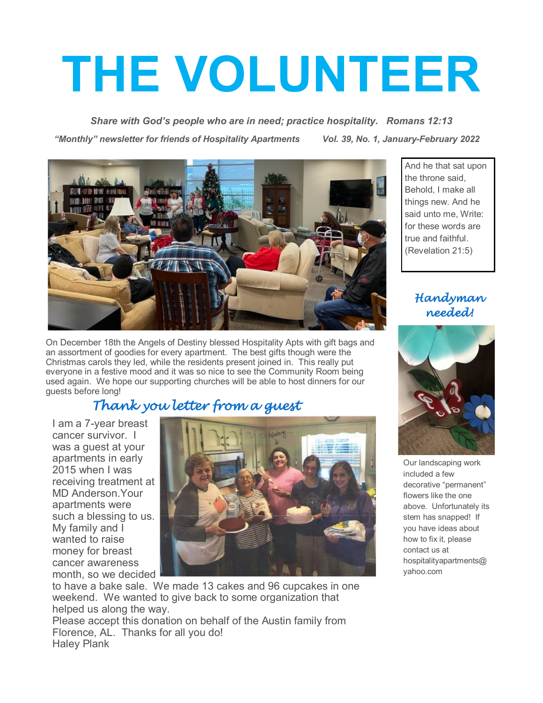# **THE VOLUNTEER**

*Share with God's people who are in need; practice hospitality. Romans 12:13 "Monthly" newsletter for friends of Hospitality Apartments Vol. 39, No. 1, January-February 2022*



On December 18th the Angels of Destiny blessed Hospitality Apts with gift bags and an assortment of goodies for every apartment. The best gifts though were the Christmas carols they led, while the residents present joined in. This really put everyone in a festive mood and it was so nice to see the Community Room being used again. We hope our supporting churches will be able to host dinners for our guests before long!

# *Thank you letter from a guest*

I am a 7-year breast cancer survivor. I was a guest at your apartments in early 2015 when I was receiving treatment at MD Anderson.Your apartments were such a blessing to us. My family and I wanted to raise money for breast cancer awareness month, so we decided



to have a bake sale. We made 13 cakes and 96 cupcakes in one weekend. We wanted to give back to some organization that helped us along the way.

Please accept this donation on behalf of the Austin family from Florence, AL. Thanks for all you do! Haley Plank

And he that sat upon the throne said, Behold, I make all things new. And he said unto me, Write: for these words are true and faithful. (Revelation 21:5)

> *Handyman needed!*



Our landscaping work included a few decorative "permanent" flowers like the one above. Unfortunately its stem has snapped! If you have ideas about how to fix it, please contact us at hospitalityapartments@ yahoo.com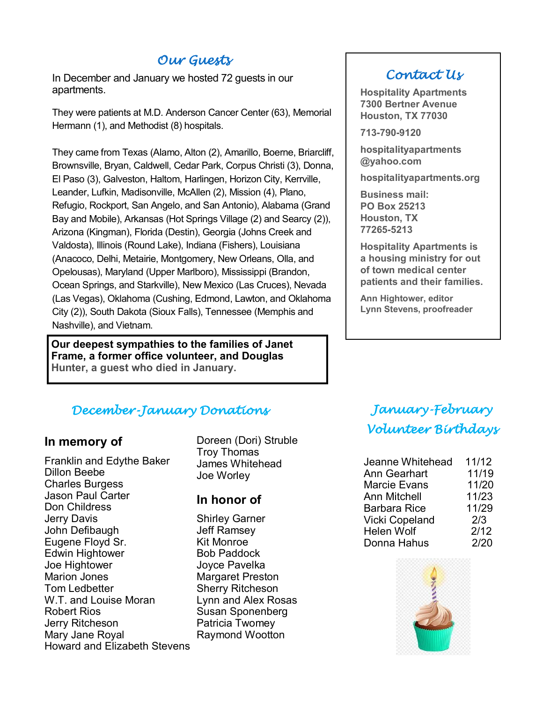## *Our Guests*

In December and January we hosted 72 guests in our apartments.

They were patients at M.D. Anderson Cancer Center (63), Memorial Hermann (1), and Methodist (8) hospitals.

They came from Texas (Alamo, Alton (2), Amarillo, Boerne, Briarcliff, Brownsville, Bryan, Caldwell, Cedar Park, Corpus Christi (3), Donna, El Paso (3), Galveston, Haltom, Harlingen, Horizon City, Kerrville, Leander, Lufkin, Madisonville, McAllen (2), Mission (4), Plano, Refugio, Rockport, San Angelo, and San Antonio), Alabama (Grand Bay and Mobile), Arkansas (Hot Springs Village (2) and Searcy (2)), Arizona (Kingman), Florida (Destin), Georgia (Johns Creek and Valdosta), Illinois (Round Lake), Indiana (Fishers), Louisiana (Anacoco, Delhi, Metairie, Montgomery, New Orleans, Olla, and Opelousas), Maryland (Upper Marlboro), Mississippi (Brandon, Ocean Springs, and Starkville), New Mexico (Las Cruces), Nevada (Las Vegas), Oklahoma (Cushing, Edmond, Lawton, and Oklahoma City (2)), South Dakota (Sioux Falls), Tennessee (Memphis and Nashville), and Vietnam.

**Our deepest sympathies to the families of Janet Frame, a former office volunteer, and Douglas Hunter, a guest who died in January.** 

## *December-January Donations*

## **In memory of**

Franklin and Edythe Baker Dillon Beebe Charles Burgess Jason Paul Carter Don Childress Jerry Davis John Defibaugh Eugene Floyd Sr. Edwin Hightower Joe Hightower Marion Jones Tom Ledbetter W.T. and Louise Moran Robert Rios Jerry Ritcheson Mary Jane Royal Howard and Elizabeth Stevens

Doreen (Dori) Struble Troy Thomas James Whitehead Joe Worley

## **In honor of**

Shirley Garner Jeff Ramsey Kit Monroe Bob Paddock Joyce Pavelka Margaret Preston Sherry Ritcheson Lynn and Alex Rosas Susan Sponenberg Patricia Twomey Raymond Wootton

## *Contact Us*

**Hospitality Apartments 7300 Bertner Avenue Houston, TX 77030**

**713-790-9120**

**hospitalityapartments @yahoo.com**

**hospitalityapartments.org**

**Business mail: PO Box 25213 Houston, TX 77265-5213**

**Hospitality Apartments is a housing ministry for out of town medical center patients and their families.**

**Ann Hightower, editor Lynn Stevens, proofreader**

# *January-February Volunteer Birthdays*

| Jeanne Whitehead      | 11/12 |
|-----------------------|-------|
|                       |       |
| <b>Ann Gearhart</b>   | 11/19 |
| <b>Marcie Evans</b>   | 11/20 |
| <b>Ann Mitchell</b>   | 11/23 |
| <b>Barbara Rice</b>   | 11/29 |
| <b>Vicki Copeland</b> | 2/3   |
| <b>Helen Wolf</b>     | 2/12  |
| Donna Hahus           | 2/20  |

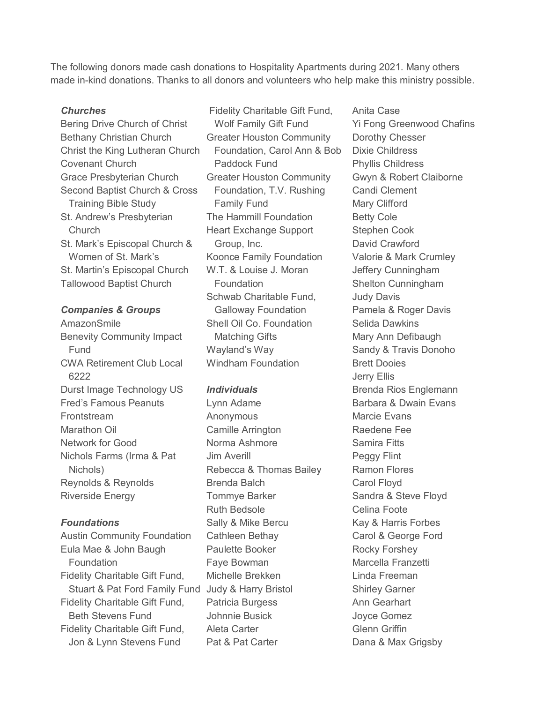The following donors made cash donations to Hospitality Apartments during 2021. Many others made in-kind donations. Thanks to all donors and volunteers who help make this ministry possible.

#### *Churches*

Bering Drive Church of Christ Bethany Christian Church Christ the King Lutheran Church Covenant Church Grace Presbyterian Church Second Baptist Church & Cross Training Bible Study St. Andrew's Presbyterian Church St. Mark's Episcopal Church & Women of St. Mark's St. Martin's Episcopal Church Tallowood Baptist Church

#### *Companies & Groups*

AmazonSmile Benevity Community Impact Fund CWA Retirement Club Local 6222 Durst Image Technology US Fred's Famous Peanuts **Frontstream** Marathon Oil Network for Good Nichols Farms (Irma & Pat Nichols) Reynolds & Reynolds Riverside Energy

#### *Foundations*

Austin Community Foundation Eula Mae & John Baugh **Foundation** Fidelity Charitable Gift Fund, Stuart & Pat Ford Family Fund Judy & Harry Bristol Fidelity Charitable Gift Fund, Beth Stevens Fund Fidelity Charitable Gift Fund, Jon & Lynn Stevens Fund

Fidelity Charitable Gift Fund, Wolf Family Gift Fund Greater Houston Community Foundation, Carol Ann & Bob Paddock Fund Greater Houston Community Foundation, T.V. Rushing Family Fund The Hammill Foundation Heart Exchange Support Group, Inc. Koonce Family Foundation W.T. & Louise J. Moran Foundation Schwab Charitable Fund, Galloway Foundation Shell Oil Co. Foundation Matching Gifts Wayland's Way Windham Foundation

#### *Individuals*

Lynn Adame Anonymous Camille Arrington Norma Ashmore Jim Averill Rebecca & Thomas Bailey Brenda Balch Tommye Barker Ruth Bedsole Sally & Mike Bercu Cathleen Bethay Paulette Booker Faye Bowman Michelle Brekken Patricia Burgess Johnnie Busick Aleta Carter Pat & Pat Carter

Anita Case Yi Fong Greenwood Chafins Dorothy Chesser Dixie Childress Phyllis Childress Gwyn & Robert Claiborne Candi Clement Mary Clifford Betty Cole Stephen Cook David Crawford Valorie & Mark Crumley Jeffery Cunningham Shelton Cunningham Judy Davis Pamela & Roger Davis Selida Dawkins Mary Ann Defibaugh Sandy & Travis Donoho Brett Dooies Jerry Ellis Brenda Rios Englemann Barbara & Dwain Evans Marcie Evans Raedene Fee Samira Fitts Peggy Flint Ramon Flores Carol Floyd Sandra & Steve Floyd Celina Foote Kay & Harris Forbes Carol & George Ford Rocky Forshey Marcella Franzetti Linda Freeman Shirley Garner Ann Gearhart Joyce Gomez Glenn Griffin Dana & Max Grigsby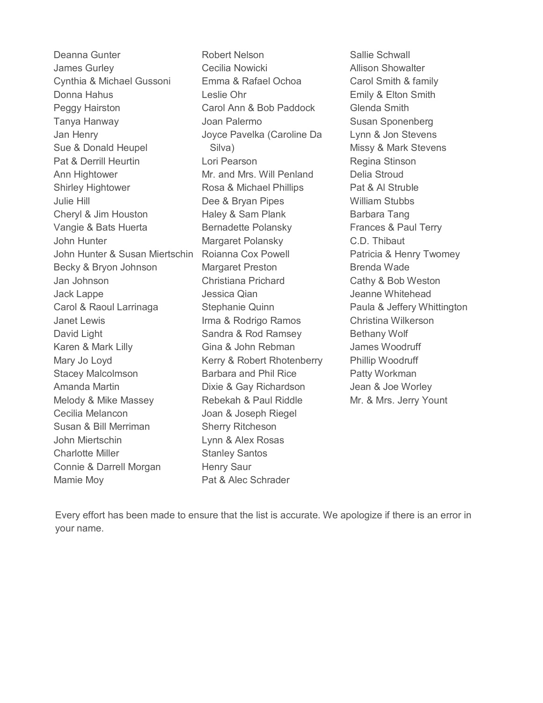Deanna Gunter James Gurley Cynthia & Michael Gussoni Donna Hahus Peggy Hairston Tanya Hanway Jan Henry Sue & Donald Heupel Pat & Derrill Heurtin Ann Hightower Shirley Hightower Julie Hill Cheryl & Jim Houston Vangie & Bats Huerta John Hunter John Hunter & Susan Miertschin Becky & Bryon Johnson Jan Johnson Jack Lappe Carol & Raoul Larrinaga Janet Lewis David Light Karen & Mark Lilly Mary Jo Loyd Stacey Malcolmson Amanda Martin Melody & Mike Massey Cecilia Melancon Susan & Bill Merriman John Miertschin Charlotte Miller Connie & Darrell Morgan Mamie Moy

Robert Nelson Cecilia Nowicki Emma & Rafael Ochoa Leslie Ohr Carol Ann & Bob Paddock Joan Palermo Joyce Pavelka (Caroline Da Silva) Lori Pearson Mr. and Mrs. Will Penland Rosa & Michael Phillips Dee & Bryan Pipes Haley & Sam Plank Bernadette Polansky Margaret Polansky Roianna Cox Powell Margaret Preston Christiana Prichard Jessica Qian Stephanie Quinn Irma & Rodrigo Ramos Sandra & Rod Ramsey Gina & John Rebman Kerry & Robert Rhotenberry Barbara and Phil Rice Dixie & Gay Richardson Rebekah & Paul Riddle Joan & Joseph Riegel Sherry Ritcheson Lynn & Alex Rosas Stanley Santos Henry Saur Pat & Alec Schrader

Sallie Schwall Allison Showalter Carol Smith & family Emily & Elton Smith Glenda Smith Susan Sponenberg Lynn & Jon Stevens Missy & Mark Stevens Regina Stinson Delia Stroud Pat & Al Struble William Stubbs Barbara Tang Frances & Paul Terry C.D. Thibaut Patricia & Henry Twomey Brenda Wade Cathy & Bob Weston Jeanne Whitehead Paula & Jeffery Whittington Christina Wilkerson Bethany Wolf James Woodruff Phillip Woodruff Patty Workman Jean & Joe Worley Mr. & Mrs. Jerry Yount

Every effort has been made to ensure that the list is accurate. We apologize if there is an error in your name.